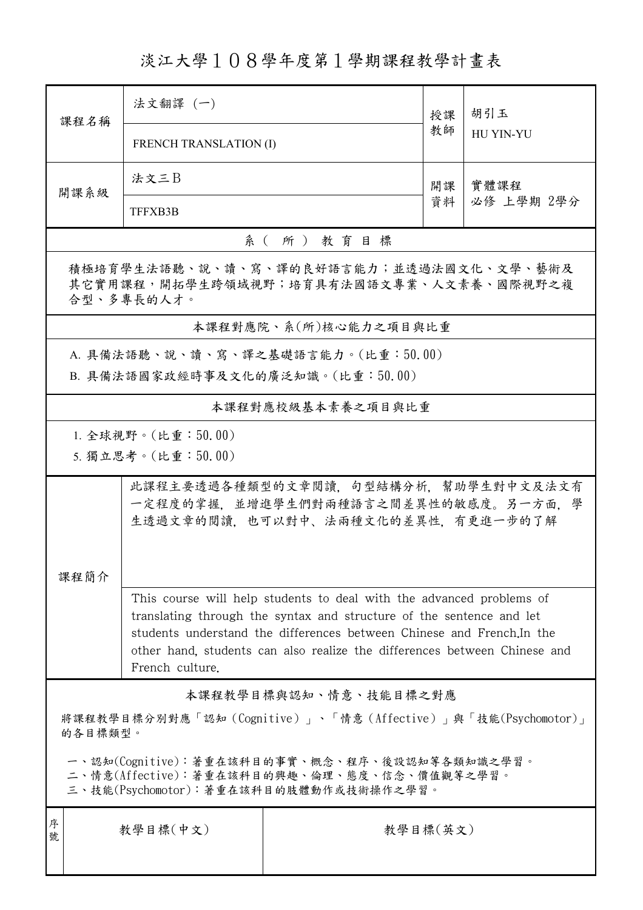淡江大學108學年度第1學期課程教學計畫表

| 課程名稱                                                                                                                                   | 法文翻譯 (一)                                                                                                                                                               |                                    | 授課<br>教師 | 胡引玉                |  |  |  |
|----------------------------------------------------------------------------------------------------------------------------------------|------------------------------------------------------------------------------------------------------------------------------------------------------------------------|------------------------------------|----------|--------------------|--|--|--|
|                                                                                                                                        | <b>FRENCH TRANSLATION (I)</b>                                                                                                                                          |                                    |          | HU YIN-YU          |  |  |  |
| 開課系級                                                                                                                                   | 法文三B                                                                                                                                                                   |                                    | 開課       | 實體課程<br>必修 上學期 2學分 |  |  |  |
|                                                                                                                                        | TFFXB3B                                                                                                                                                                |                                    | 資料       |                    |  |  |  |
| 系(所)教育目標                                                                                                                               |                                                                                                                                                                        |                                    |          |                    |  |  |  |
| 積極培育學生法語聽、說、讀、寫、譯的良好語言能力;並透過法國文化、文學、藝術及<br>其它實用課程,開拓學生跨領域視野;培育具有法國語文專業、人文素養、國際視野之複<br>合型、多專長的人才。                                       |                                                                                                                                                                        |                                    |          |                    |  |  |  |
|                                                                                                                                        |                                                                                                                                                                        | 本課程對應院、系(所)核心能力之項目與比重              |          |                    |  |  |  |
|                                                                                                                                        |                                                                                                                                                                        | A. 具備法語聽、說、讀、寫、譯之基礎語言能力。(比重:50.00) |          |                    |  |  |  |
|                                                                                                                                        | B. 具備法語國家政經時事及文化的廣泛知識。(比重:50.00)                                                                                                                                       |                                    |          |                    |  |  |  |
|                                                                                                                                        |                                                                                                                                                                        | 本課程對應校級基本素養之項目與比重                  |          |                    |  |  |  |
|                                                                                                                                        | 1. 全球視野。(比重: $50.00$ )                                                                                                                                                 |                                    |          |                    |  |  |  |
|                                                                                                                                        | 5. 獨立思考。(比重:50.00)                                                                                                                                                     |                                    |          |                    |  |  |  |
|                                                                                                                                        | 此課程主要透過各種類型的文章閱讀,句型結構分析,幫助學生對中文及法文有<br>一定程度的掌握,並增進學生們對兩種語言之間差異性的敏感度。另一方面,學<br>生透過文章的閱讀,也可以對中、法兩種文化的差異性,有更進一步的了解                                                        |                                    |          |                    |  |  |  |
| 課程簡介                                                                                                                                   |                                                                                                                                                                        |                                    |          |                    |  |  |  |
|                                                                                                                                        | This course will help students to deal with the advanced problems of<br>translating through the syntax and structure of the sentence and let                           |                                    |          |                    |  |  |  |
|                                                                                                                                        | students understand the differences between Chinese and French. In the<br>other hand, students can also realize the differences between Chinese and<br>French culture. |                                    |          |                    |  |  |  |
| 本課程教學目標與認知、情意、技能目標之對應                                                                                                                  |                                                                                                                                                                        |                                    |          |                    |  |  |  |
| 將課程教學目標分別對應「認知(Cognitive)」、「情意(Affective)」與「技能(Psychomotor)」<br>的各目標類型。                                                                |                                                                                                                                                                        |                                    |          |                    |  |  |  |
| 一、認知(Cognitive):著重在該科目的事實、概念、程序、後設認知等各類知識之學習。<br>二、情意(Affective):著重在該科目的興趣、倫理、態度、信念、價值觀等之學習。<br>三、技能(Psychomotor):著重在該科目的肢體動作或技術操作之學習。 |                                                                                                                                                                        |                                    |          |                    |  |  |  |
| 序<br>號                                                                                                                                 | 教學目標(中文)                                                                                                                                                               | 教學目標(英文)                           |          |                    |  |  |  |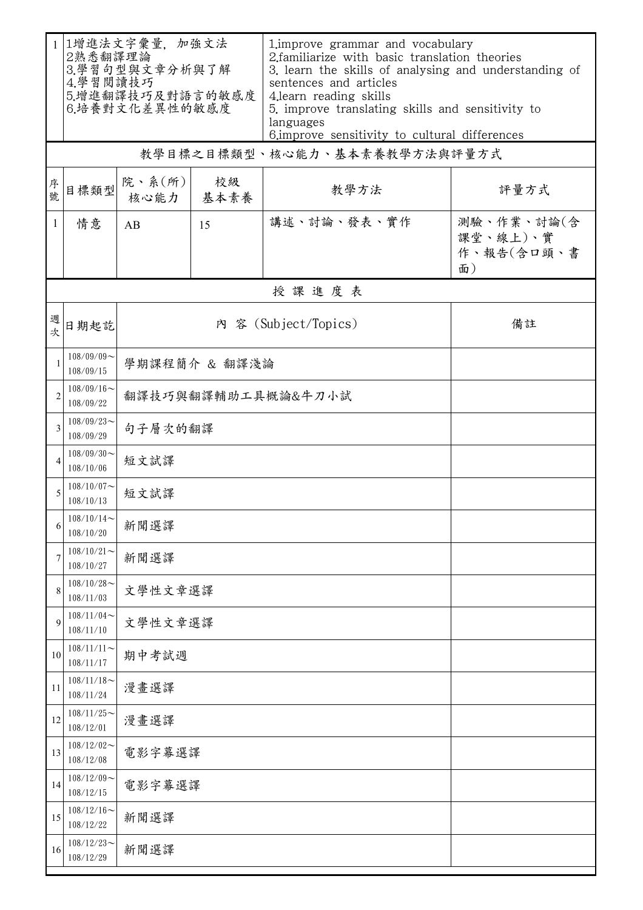| $\mathbf{1}$   | 1增進法文字彙量, 加強文法<br>2熟悉翻譯理論<br>3.學習句型與文章分析與了解<br>4.學習閱讀技巧<br>5.增進翻譯技巧及對語言的敏感度<br>6.培養對文化差異性的敏感度 |                            |            | 1. improve grammar and vocabulary<br>2. familiarize with basic translation theories<br>3. learn the skills of analysing and understanding of<br>sentences and articles<br>4.learn reading skills<br>5. improve translating skills and sensitivity to<br>languages<br>6. improve sensitivity to cultural differences |                                            |  |  |  |
|----------------|-----------------------------------------------------------------------------------------------|----------------------------|------------|---------------------------------------------------------------------------------------------------------------------------------------------------------------------------------------------------------------------------------------------------------------------------------------------------------------------|--------------------------------------------|--|--|--|
|                | 教學目標之目標類型、核心能力、基本素養教學方法與評量方式                                                                  |                            |            |                                                                                                                                                                                                                                                                                                                     |                                            |  |  |  |
| 序號             | 目標類型                                                                                          | 院、系(所)<br>核心能力             | 校級<br>基本素養 | 教學方法                                                                                                                                                                                                                                                                                                                | 評量方式                                       |  |  |  |
| $\mathbf{1}$   | 情意                                                                                            | AB                         | 15         | 講述、討論、發表、實作                                                                                                                                                                                                                                                                                                         | 測驗、作業、討論(含<br>課堂、線上)、實<br>作、報告(含口頭、書<br>面) |  |  |  |
|                | 授課進度表                                                                                         |                            |            |                                                                                                                                                                                                                                                                                                                     |                                            |  |  |  |
| 週次             | 日期起訖                                                                                          | 內 容 (Subject/Topics)<br>備註 |            |                                                                                                                                                                                                                                                                                                                     |                                            |  |  |  |
| $\mathbf{1}$   | $108/09/09$ ~<br>108/09/15                                                                    | 學期課程簡介 & 翻譯淺論              |            |                                                                                                                                                                                                                                                                                                                     |                                            |  |  |  |
| $\overline{2}$ | $108/09/16$ ~<br>108/09/22                                                                    | 翻譯技巧與翻譯輔助工具概論&牛刀小試         |            |                                                                                                                                                                                                                                                                                                                     |                                            |  |  |  |
| 3              | $108/09/23$ ~<br>108/09/29                                                                    | 句子層次的翻譯                    |            |                                                                                                                                                                                                                                                                                                                     |                                            |  |  |  |
| 4              | $108/09/30$ ~<br>108/10/06                                                                    | 短文試譯                       |            |                                                                                                                                                                                                                                                                                                                     |                                            |  |  |  |
| 5              | $108/10/07$ ~<br>108/10/13                                                                    | 短文試譯                       |            |                                                                                                                                                                                                                                                                                                                     |                                            |  |  |  |
| 6              | 108/10/14<br>108/10/20                                                                        | 新聞選譯                       |            |                                                                                                                                                                                                                                                                                                                     |                                            |  |  |  |
| 7              | $108/10/21$ ~<br>108/10/27                                                                    | 新聞選譯                       |            |                                                                                                                                                                                                                                                                                                                     |                                            |  |  |  |
| 8              | $108/10/28$ ~<br>108/11/03                                                                    | 文學性文章選譯                    |            |                                                                                                                                                                                                                                                                                                                     |                                            |  |  |  |
| 9              | $108/11/04$ ~<br>108/11/10                                                                    | 文學性文章選譯                    |            |                                                                                                                                                                                                                                                                                                                     |                                            |  |  |  |
| 10             | $108/11/11$ ~<br>108/11/17                                                                    | 期中考試週                      |            |                                                                                                                                                                                                                                                                                                                     |                                            |  |  |  |
| 11             | $108/11/18$ ~<br>108/11/24                                                                    | 漫畫選譯                       |            |                                                                                                                                                                                                                                                                                                                     |                                            |  |  |  |
| 12             | $108/11/25$ ~<br>108/12/01                                                                    | 漫畫選譯                       |            |                                                                                                                                                                                                                                                                                                                     |                                            |  |  |  |
| 13             | $108/12/02$ ~<br>108/12/08                                                                    | 電影字幕選譯                     |            |                                                                                                                                                                                                                                                                                                                     |                                            |  |  |  |
| 14             | $108/12/09$ ~<br>108/12/15                                                                    | 電影字幕選譯                     |            |                                                                                                                                                                                                                                                                                                                     |                                            |  |  |  |
| 15             | $108/12/16$ ~<br>108/12/22                                                                    | 新聞選譯                       |            |                                                                                                                                                                                                                                                                                                                     |                                            |  |  |  |
| 16             | $108/12/23$ ~<br>108/12/29                                                                    | 新聞選譯                       |            |                                                                                                                                                                                                                                                                                                                     |                                            |  |  |  |